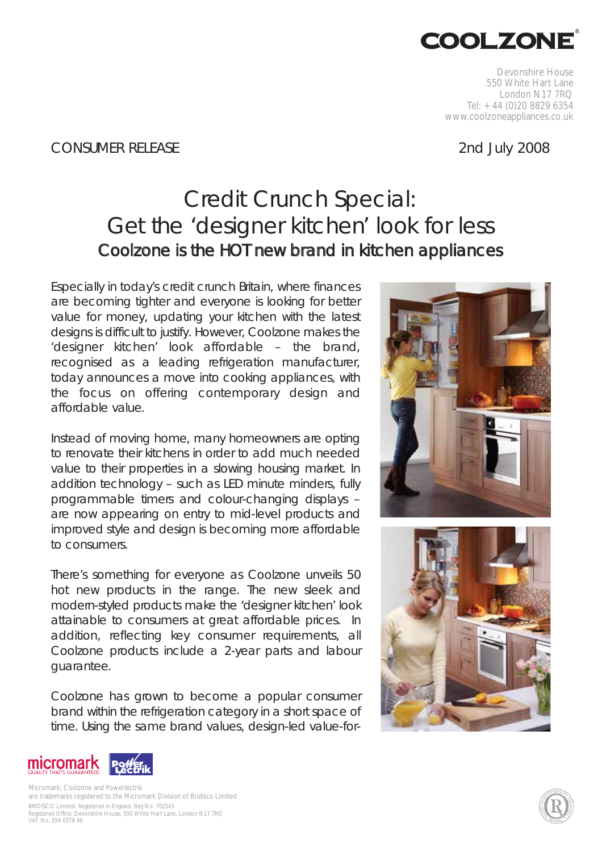

Devonshire House 550 White Hart Lane London N17 7RQ Tel: +44 (0)20 8829 6354 www.coolzoneappliances.co.uk

## CONSUMER RELEASE 2nd July 2008

# Credit Crunch Special: Get the 'designer kitchen' look for less *Coolzone is the HOT new brand in kitchen appliances*

Especially in today's credit crunch Britain, where finances are becoming tighter and everyone is looking for better value for money, updating your kitchen with the latest designs is difficult to justify. However, Coolzone makes the 'designer kitchen' look affordable – the brand, recognised as a leading refrigeration manufacturer, today announces a move into cooking appliances, with the focus on offering contemporary design and affordable value.

Instead of moving home, many homeowners are opting to renovate their kitchens in order to add much needed value to their properties in a slowing housing market. In addition technology – such as LED minute minders, fully programmable timers and colour-changing displays – are now appearing on entry to mid-level products and improved style and design is becoming more affordable to consumers.

There's something for everyone as Coolzone unveils 50 hot new products in the range. The new sleek and modern-styled products make the 'designer kitchen' look attainable to consumers at great affordable prices. In addition, reflecting key consumer requirements, all Coolzone products include a 2-year parts and labour guarantee.

Coolzone has grown to become a popular consumer brand within the refrigeration category in a short space of time. Using the same brand values, design-led value-for-







BRIDISCO Limited. Registered in England. Reg No: 702543 Registered Office: Devonshire House, 550 White Hart Lane, London N17 7RQ VAT No. 554 0378 46 Micromark, Coolzone and Powerlectrik are trademarks registered to the Micromark Division of Bridisco Limited